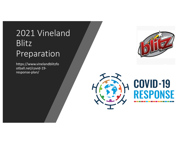# 2021 Vineland Blitz Preparation

https://www.vinelandblitzfo otball.net/covid-19 response-plan/



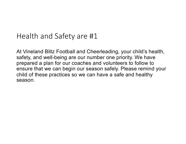## Health and Safety are #1

At Vineland Blitz Football and Cheerleading, your child's health, safety, and well-being are our number one priority. We have prepared a plan for our coaches and volunteers to follow to ensure that we can begin our season safely. Please remind your child of these practices so we can have a safe and healthy season.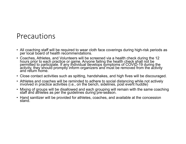#### Precautions

- All coaching staff will be required to wear cloth face coverings during high-risk periods as per local board of health recommendations.
- Coaches, Athletes, and Volunteers will be screened via a health check during the 12 hours prior to each practice or game. Anyone failing the health check shall not be permitted to participate. If any individual develops symptoms of COVID-19 during the<br>activity, they should promptly inform organizers and must be removed from the activity and return home.
- Close contact activities such as spitting, handshakes, and high fives will be discouraged.
- Athletes and coaches will be reminded to adhere to social distancing while not actively involved in practice activities (i.e., on the bench, sidelines, post event huddle)
- Mixing of groups will be disallowed and each grouping will remain with the same coaching staff and athletes as per the guidelines during pre-season.
- Hand sanitizer will be provided for athletes, coaches, and available at the concession stand.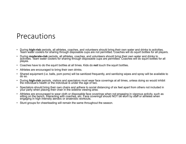#### Precautions

- During high-risk periods, all athletes, coaches, and volunteers should bring their own water and drinks to activities.<br>Team water coolers for sharing through disposable cups are not permitted. Coaches will do squirt bott
- During **moderate-risk** periods, all athletes, coaches, and volunteers should bring their own water and drinks to<br>activities. Team water coolers for sharing through disposable cups are permitted. Coaches will do squirt bo playes.
- Coaches have to do the squirt bottles at all times. Kids do **not** touch the squirt bottles.
- Athletes are encouraged to bring their own drinks.
- Shared equipment (i.e. balls, pom poms) will be sanitized frequently, and sanitizing wipes and spray will be available to do so.
- During **high-risk** periods, visitors and spectators must wear face coverings at all times, unless doing so would inhibit the individual's health or the individual is under the age of two.
- Spectators should bring their own chairs and adhere to social distancing of six feet apart from others not included in your party when placing their chair in the sideline viewing area.
- Athletes are encouraged to wear cloth or disposable face coverings when not engaging in vigorous activity, such as sitting on the bench, interacting with coaches, etc. Face coverings should NOT be worn by staff or athletes when engaging in high intensity aerobic or anaerobic workouts.
- Stunt groups for cheerleading will remain the same throughout the season.